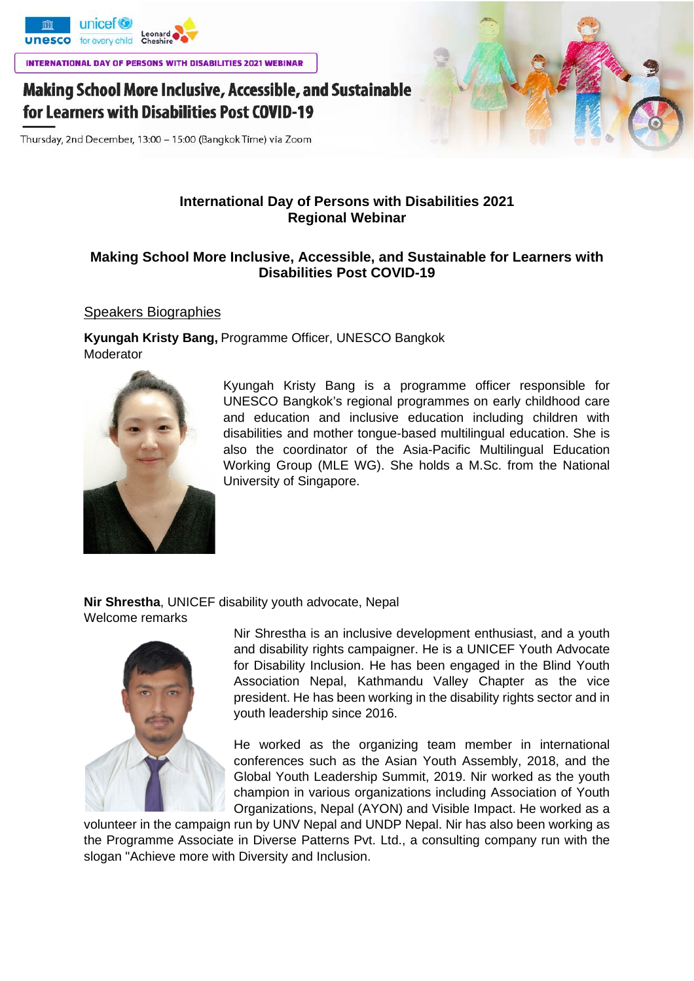

**INTERNATIONAL DAY OF PERSONS WITH DISABILITIES 2021 WEBINAR** 

# **Making School More Inclusive, Accessible, and Sustainable** for Learners with Disabilities Post COVID-19

Thursday, 2nd December, 13:00 - 15:00 (Bangkok Time) via Zoom

## **International Day of Persons with Disabilities 2021 Regional Webinar**

### **Making School More Inclusive, Accessible, and Sustainable for Learners with Disabilities Post COVID-19**

#### Speakers Biographies

**Kyungah Kristy Bang,** Programme Officer, UNESCO Bangkok Moderator



Kyungah Kristy Bang is a programme officer responsible for UNESCO Bangkok's regional programmes on early childhood care and education and inclusive education including children with disabilities and mother tongue-based multilingual education. She is also the coordinator of the Asia-Pacific Multilingual Education Working Group (MLE WG). She holds a M.Sc. from the National University of Singapore.

**Nir Shrestha**, UNICEF disability youth advocate, Nepal Welcome remarks



Nir Shrestha is an inclusive development enthusiast, and a youth and disability rights campaigner. He is a UNICEF Youth Advocate for Disability Inclusion. He has been engaged in the Blind Youth Association Nepal, Kathmandu Valley Chapter as the vice president. He has been working in the disability rights sector and in youth leadership since 2016.

He worked as the organizing team member in international conferences such as the Asian Youth Assembly, 2018, and the Global Youth Leadership Summit, 2019. Nir worked as the youth champion in various organizations including Association of Youth Organizations, Nepal (AYON) and Visible Impact. He worked as a

volunteer in the campaign run by UNV Nepal and UNDP Nepal. Nir has also been working as the Programme Associate in Diverse Patterns Pvt. Ltd., a consulting company run with the slogan "Achieve more with Diversity and Inclusion.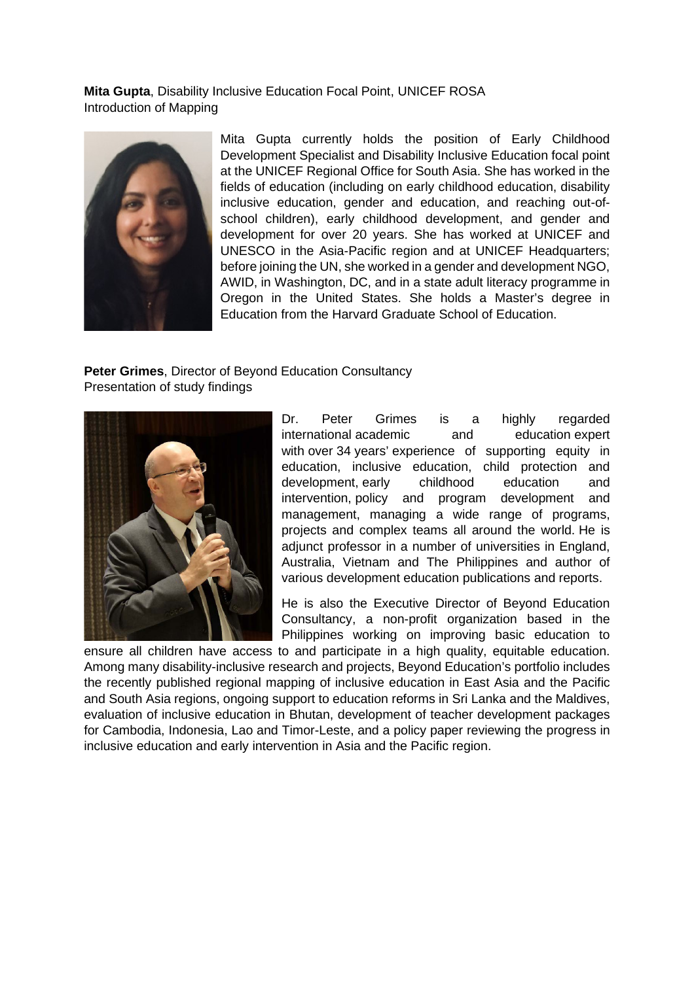**Mita Gupta**, Disability Inclusive Education Focal Point, UNICEF ROSA Introduction of Mapping



Mita Gupta currently holds the position of Early Childhood Development Specialist and Disability Inclusive Education focal point at the UNICEF Regional Office for South Asia. She has worked in the fields of education (including on early childhood education, disability inclusive education, gender and education, and reaching out-ofschool children), early childhood development, and gender and development for over 20 years. She has worked at UNICEF and UNESCO in the Asia-Pacific region and at UNICEF Headquarters; before joining the UN, she worked in a gender and development NGO, AWID, in Washington, DC, and in a state adult literacy programme in Oregon in the United States. She holds a Master's degree in Education from the Harvard Graduate School of Education.

**Peter Grimes**, Director of Beyond Education Consultancy Presentation of study findings



Dr. Peter Grimes is a highly regarded international academic and education expert with over 34 years' experience of supporting equity in education, inclusive education, child protection and development, early childhood education and intervention, policy and program development and management, managing a wide range of programs, projects and complex teams all around the world. He is adjunct professor in a number of universities in England, Australia, Vietnam and The Philippines and author of various development education publications and reports.

He is also the Executive Director of Beyond Education Consultancy, a non-profit organization based in the Philippines working on improving basic education to

ensure all children have access to and participate in a high quality, equitable education. Among many disability-inclusive research and projects, Beyond Education's portfolio includes the recently published regional mapping of inclusive education in East Asia and the Pacific and South Asia regions, ongoing support to education reforms in Sri Lanka and the Maldives, evaluation of inclusive education in Bhutan, development of teacher development packages for Cambodia, Indonesia, Lao and Timor-Leste, and a policy paper reviewing the progress in inclusive education and early intervention in Asia and the Pacific region.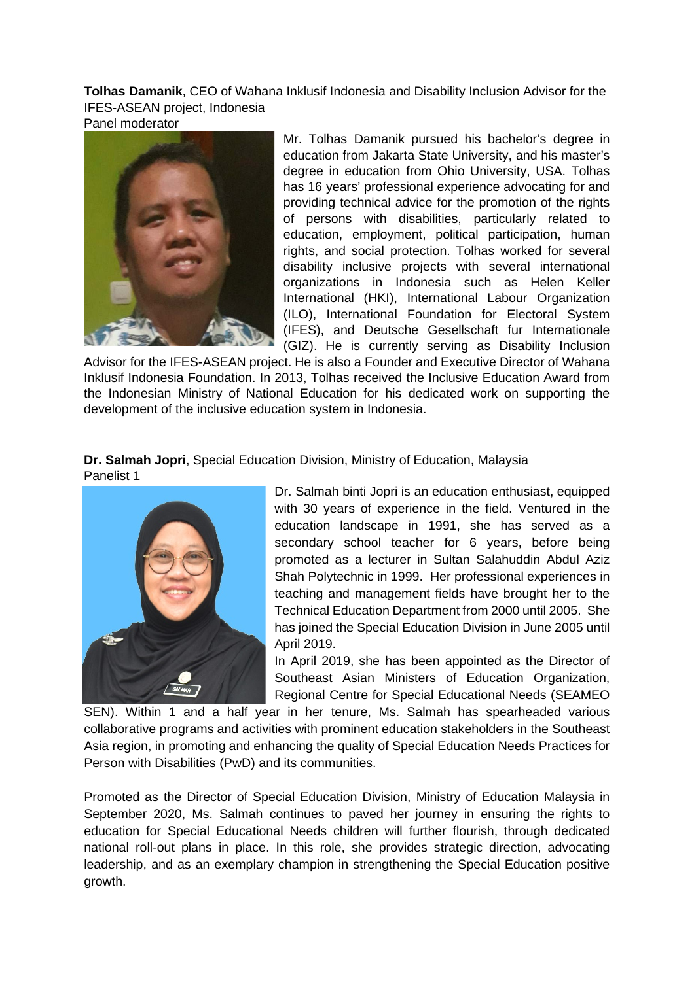**Tolhas Damanik**, CEO of Wahana Inklusif Indonesia and Disability Inclusion Advisor for the IFES-ASEAN project, Indonesia

Panel moderator



Mr. Tolhas Damanik pursued his bachelor's degree in education from Jakarta State University, and his master's degree in education from Ohio University, USA. Tolhas has 16 years' professional experience advocating for and providing technical advice for the promotion of the rights of persons with disabilities, particularly related to education, employment, political participation, human rights, and social protection. Tolhas worked for several disability inclusive projects with several international organizations in Indonesia such as Helen Keller International (HKI), International Labour Organization (ILO), International Foundation for Electoral System (IFES), and Deutsche Gesellschaft fur Internationale (GIZ). He is currently serving as Disability Inclusion

Advisor for the IFES-ASEAN project. He is also a Founder and Executive Director of Wahana Inklusif Indonesia Foundation. In 2013, Tolhas received the Inclusive Education Award from the Indonesian Ministry of National Education for his dedicated work on supporting the development of the inclusive education system in Indonesia.

**Dr. Salmah Jopri**, Special Education Division, Ministry of Education, Malaysia Panelist 1



Dr. Salmah binti Jopri is an education enthusiast, equipped with 30 years of experience in the field. Ventured in the education landscape in 1991, she has served as a secondary school teacher for 6 years, before being promoted as a lecturer in Sultan Salahuddin Abdul Aziz Shah Polytechnic in 1999. Her professional experiences in teaching and management fields have brought her to the Technical Education Department from 2000 until 2005. She has joined the Special Education Division in June 2005 until April 2019.

In April 2019, she has been appointed as the Director of Southeast Asian Ministers of Education Organization, Regional Centre for Special Educational Needs (SEAMEO

SEN). Within 1 and a half year in her tenure, Ms. Salmah has spearheaded various collaborative programs and activities with prominent education stakeholders in the Southeast Asia region, in promoting and enhancing the quality of Special Education Needs Practices for Person with Disabilities (PwD) and its communities.

Promoted as the Director of Special Education Division, Ministry of Education Malaysia in September 2020, Ms. Salmah continues to paved her journey in ensuring the rights to education for Special Educational Needs children will further flourish, through dedicated national roll-out plans in place. In this role, she provides strategic direction, advocating leadership, and as an exemplary champion in strengthening the Special Education positive growth.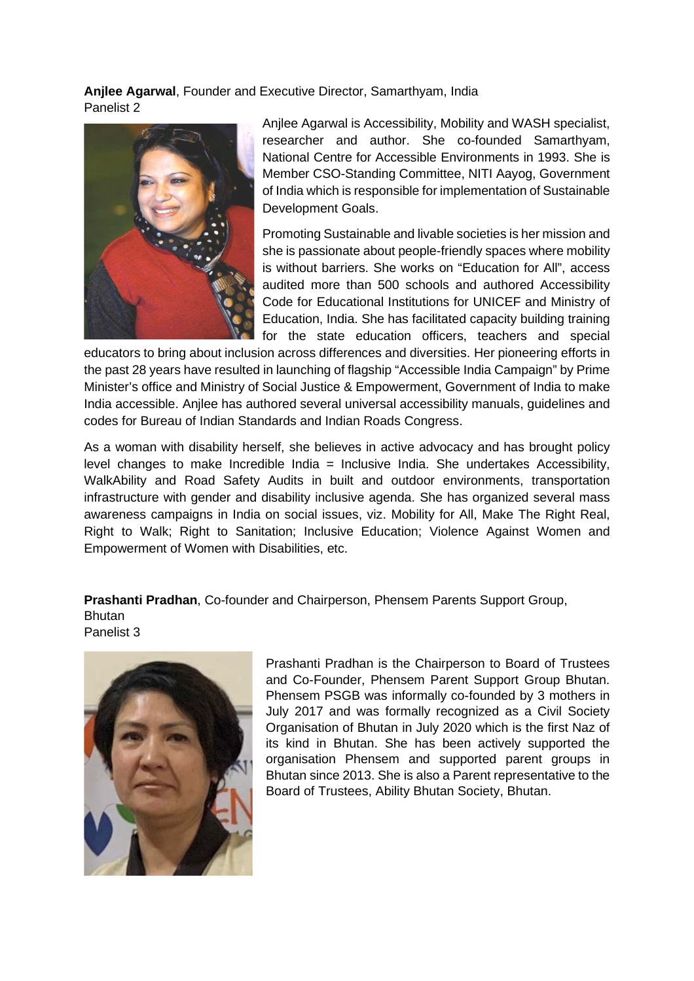**Anjlee Agarwal**, Founder and Executive Director, Samarthyam, India Panelist 2



Anjlee Agarwal is Accessibility, Mobility and WASH specialist, researcher and author. She co-founded Samarthyam, National Centre for Accessible Environments in 1993. She is Member CSO-Standing Committee, NITI Aayog, Government of India which is responsible for implementation of Sustainable Development Goals.

Promoting Sustainable and livable societies is her mission and she is passionate about people-friendly spaces where mobility is without barriers. She works on "Education for All", access audited more than 500 schools and authored Accessibility Code for Educational Institutions for UNICEF and Ministry of Education, India. She has facilitated capacity building training for the state education officers, teachers and special

educators to bring about inclusion across differences and diversities. Her pioneering efforts in the past 28 years have resulted in launching of flagship "Accessible India Campaign" by Prime Minister's office and Ministry of Social Justice & Empowerment, Government of India to make India accessible. Anjlee has authored several universal accessibility manuals, guidelines and codes for Bureau of Indian Standards and Indian Roads Congress.

As a woman with disability herself, she believes in active advocacy and has brought policy level changes to make Incredible India = Inclusive India. She undertakes Accessibility, WalkAbility and Road Safety Audits in built and outdoor environments, transportation infrastructure with gender and disability inclusive agenda. She has organized several mass awareness campaigns in India on social issues, viz. Mobility for All, Make The Right Real, Right to Walk; Right to Sanitation; Inclusive Education; Violence Against Women and Empowerment of Women with Disabilities, etc.

**Prashanti Pradhan**, Co-founder and Chairperson, Phensem Parents Support Group, **Bhutan** Panelist 3



Prashanti Pradhan is the Chairperson to Board of Trustees and Co-Founder, Phensem Parent Support Group Bhutan. Phensem PSGB was informally co-founded by 3 mothers in July 2017 and was formally recognized as a Civil Society Organisation of Bhutan in July 2020 which is the first Naz of its kind in Bhutan. She has been actively supported the organisation Phensem and supported parent groups in Bhutan since 2013. She is also a Parent representative to the Board of Trustees, Ability Bhutan Society, Bhutan.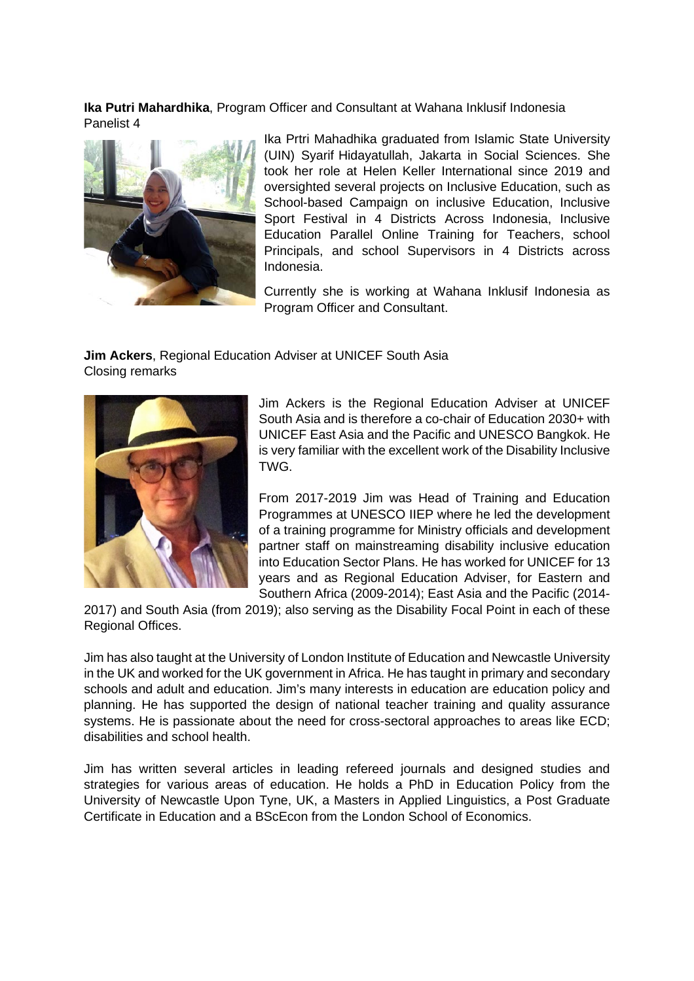**Ika Putri Mahardhika**, Program Officer and Consultant at Wahana Inklusif Indonesia Panelist 4



Ika Prtri Mahadhika graduated from Islamic State University (UIN) Syarif Hidayatullah, Jakarta in Social Sciences. She took her role at Helen Keller International since 2019 and oversighted several projects on Inclusive Education, such as School-based Campaign on inclusive Education, Inclusive Sport Festival in 4 Districts Across Indonesia, Inclusive Education Parallel Online Training for Teachers, school Principals, and school Supervisors in 4 Districts across Indonesia.

Currently she is working at Wahana Inklusif Indonesia as Program Officer and Consultant.

**Jim Ackers**, Regional Education Adviser at UNICEF South Asia Closing remarks



Jim Ackers is the Regional Education Adviser at UNICEF South Asia and is therefore a co-chair of Education 2030+ with UNICEF East Asia and the Pacific and UNESCO Bangkok. He is very familiar with the excellent work of the Disability Inclusive TWG.

From 2017-2019 Jim was Head of Training and Education Programmes at UNESCO IIEP where he led the development of a training programme for Ministry officials and development partner staff on mainstreaming disability inclusive education into Education Sector Plans. He has worked for UNICEF for 13 years and as Regional Education Adviser, for Eastern and Southern Africa (2009-2014); East Asia and the Pacific (2014-

2017) and South Asia (from 2019); also serving as the Disability Focal Point in each of these Regional Offices.

Jim has also taught at the University of London Institute of Education and Newcastle University in the UK and worked for the UK government in Africa. He has taught in primary and secondary schools and adult and education. Jim's many interests in education are education policy and planning. He has supported the design of national teacher training and quality assurance systems. He is passionate about the need for cross-sectoral approaches to areas like ECD; disabilities and school health.

Jim has written several articles in leading refereed journals and designed studies and strategies for various areas of education. He holds a PhD in Education Policy from the University of Newcastle Upon Tyne, UK, a Masters in Applied Linguistics, a Post Graduate Certificate in Education and a BScEcon from the London School of Economics.